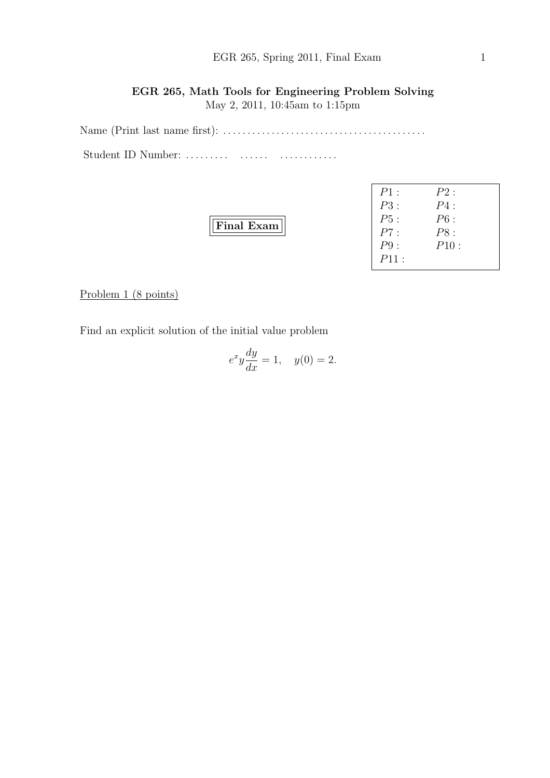May 2, 2011, 10:45am to 1:15pm

Name (Print last name first): . . . . . . . . . . . . . . . . . . . . . . . . . . . . . . . . . . . . . . . . . . Student ID Number: .......... ........ ...............

| ۰.<br>. . |
|-----------|
|-----------|

| $P1$ : | P2:  |  |
|--------|------|--|
| P3:    | P4:  |  |
| P5:    | P6:  |  |
| P7:    | PS:  |  |
| P9:    | P10: |  |
| P11:   |      |  |

Problem 1 (8 points)

Find an explicit solution of the initial value problem

$$
e^x y \frac{dy}{dx} = 1, \quad y(0) = 2.
$$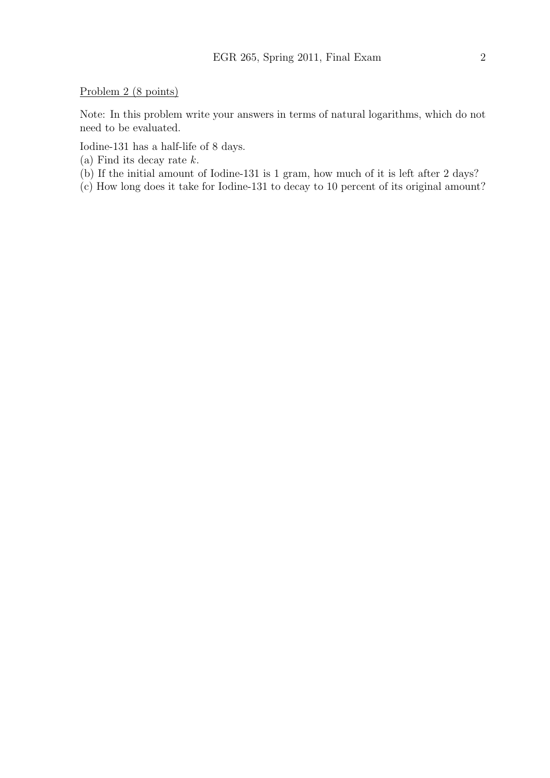Problem 2 (8 points)

Note: In this problem write your answers in terms of natural logarithms, which do not need to be evaluated.

Iodine-131 has a half-life of 8 days.

- (a) Find its decay rate  $k$ .
- (b) If the initial amount of Iodine-131 is 1 gram, how much of it is left after 2 days?

(c) How long does it take for Iodine-131 to decay to 10 percent of its original amount?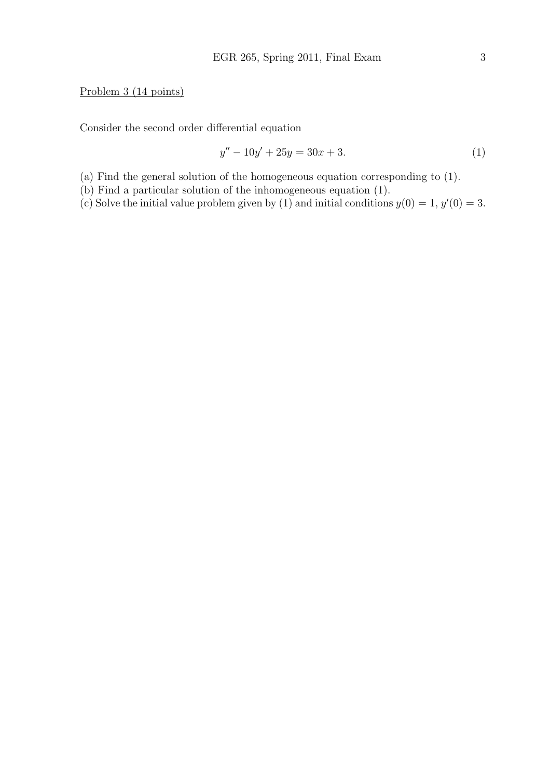## Problem 3 (14 points)

Consider the second order differential equation

$$
y'' - 10y' + 25y = 30x + 3.
$$
 (1)

(a) Find the general solution of the homogeneous equation corresponding to (1).

(b) Find a particular solution of the inhomogeneous equation (1).

(c) Solve the initial value problem given by (1) and initial conditions  $y(0) = 1, y'(0) = 3$ .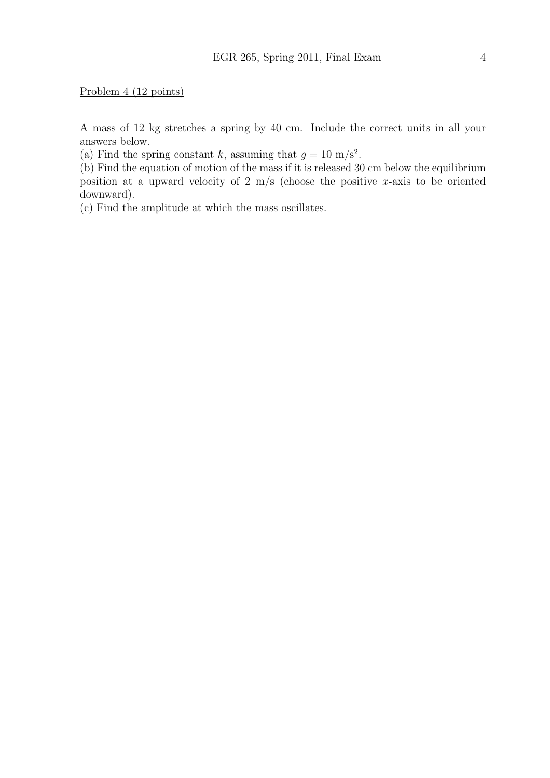Problem 4 (12 points)

A mass of 12 kg stretches a spring by 40 cm. Include the correct units in all your answers below.

(a) Find the spring constant k, assuming that  $g = 10 \text{ m/s}^2$ .

(b) Find the equation of motion of the mass if it is released 30 cm below the equilibrium position at a upward velocity of 2 m/s (choose the positive x-axis to be oriented downward).

(c) Find the amplitude at which the mass oscillates.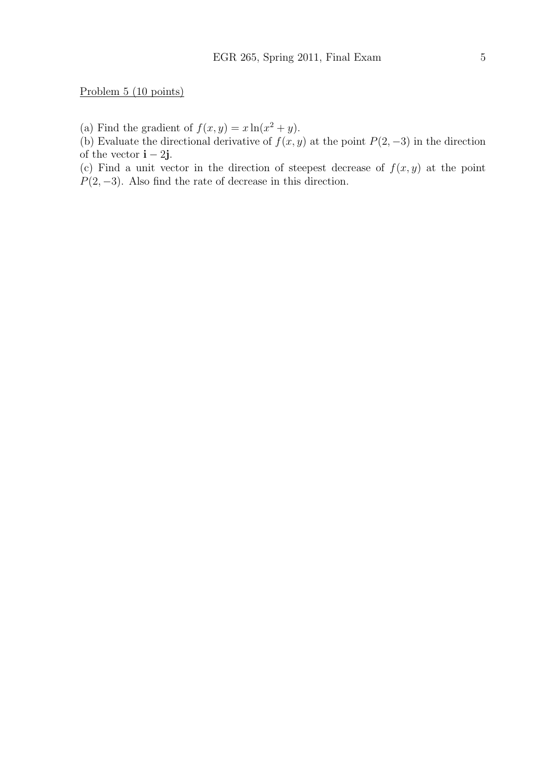Problem 5 (10 points)

(a) Find the gradient of  $f(x, y) = x \ln(x^2 + y)$ .

(b) Evaluate the directional derivative of  $f(x, y)$  at the point  $P(2, -3)$  in the direction of the vector  $\mathbf{i} - 2\mathbf{j}$ .

(c) Find a unit vector in the direction of steepest decrease of  $f(x, y)$  at the point  $P(2, -3)$ . Also find the rate of decrease in this direction.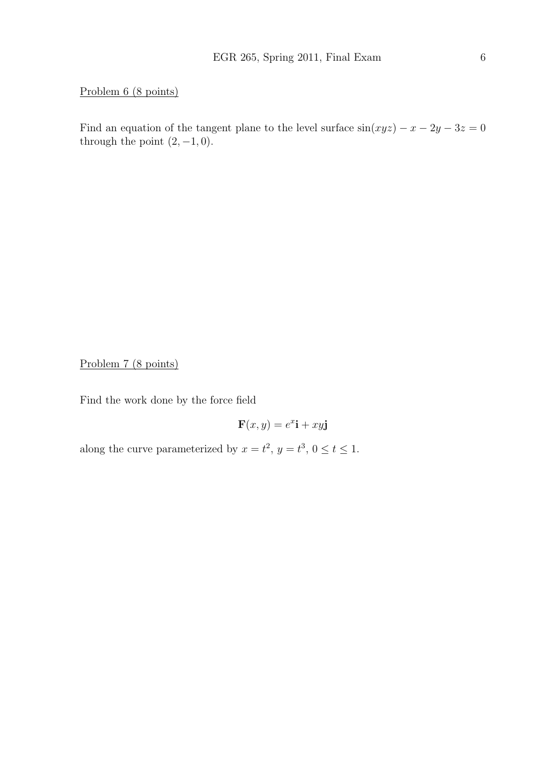Problem 6 (8 points)

Find an equation of the tangent plane to the level surface  $sin(xyz) - x - 2y - 3z = 0$ through the point  $(2, -1, 0)$ .

Problem 7 (8 points)

Find the work done by the force field

$$
\mathbf{F}(x, y) = e^x \mathbf{i} + xy \mathbf{j}
$$

along the curve parameterized by  $x = t^2$ ,  $y = t^3$ ,  $0 \le t \le 1$ .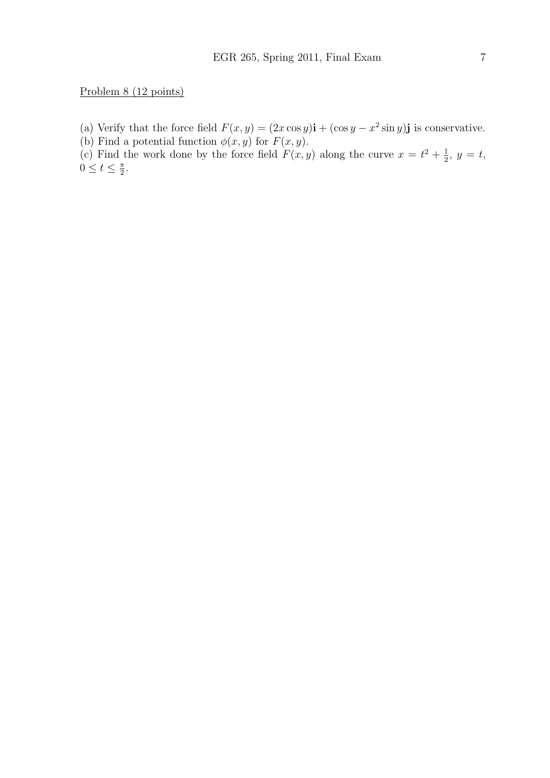(a) Verify that the force field  $F(x, y) = (2x \cos y)\mathbf{i} + (\cos y - x^2 \sin y)\mathbf{j}$  is conservative.

(b) Find a potential function  $\phi(x, y)$  for  $F(x, y)$ .

(c) Find the work done by the force field  $F(x, y)$  along the curve  $x = t^2 + \frac{1}{2}$  $\frac{1}{2}, y = t$ ,  $0 \leq t \leq \frac{\pi}{2}$  $\frac{\pi}{2}$ .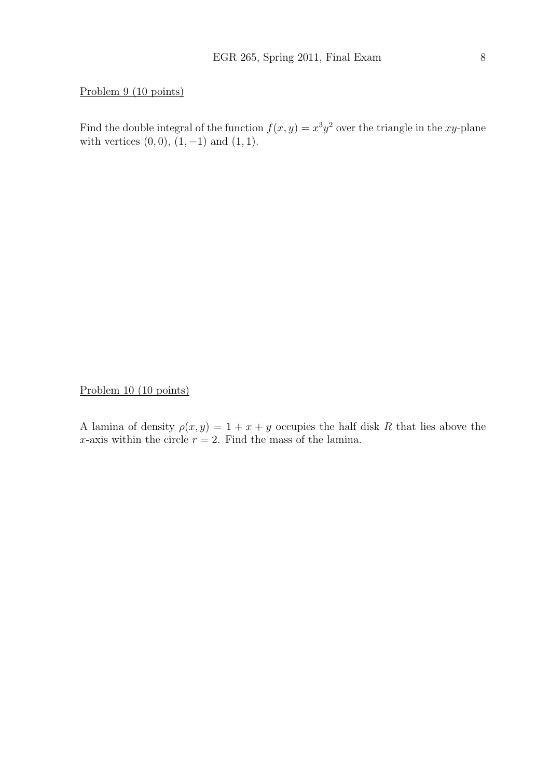## Problem 9 (10 points)

Find the double integral of the function  $f(x, y) = x^3y^2$  over the triangle in the xy-plane with vertices  $(0, 0)$ ,  $(1, -1)$  and  $(1, 1)$ .

Problem 10 (10 points)

A lamina of density  $\rho(x, y) = 1 + x + y$  occupies the half disk R that lies above the x-axis within the circle  $r = 2$ . Find the mass of the lamina.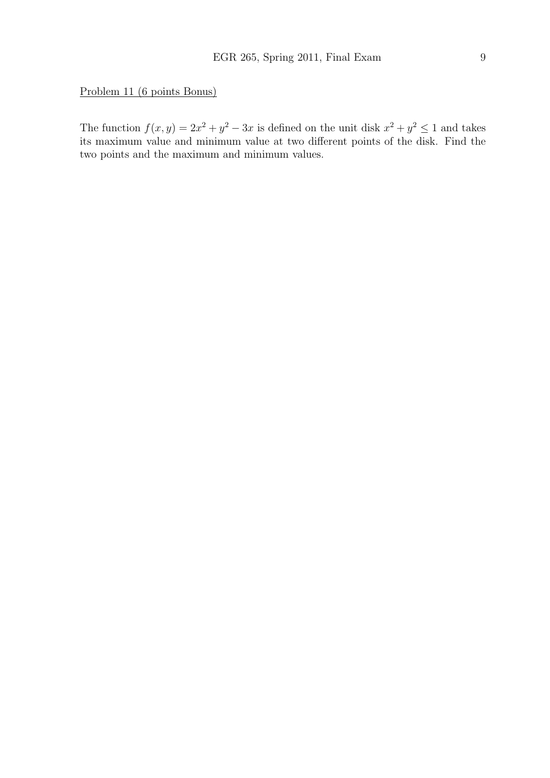Problem 11 (6 points Bonus)

The function  $f(x, y) = 2x^2 + y^2 - 3x$  is defined on the unit disk  $x^2 + y^2 \le 1$  and takes its maximum value and minimum value at two different points of the disk. Find the two points and the maximum and minimum values.